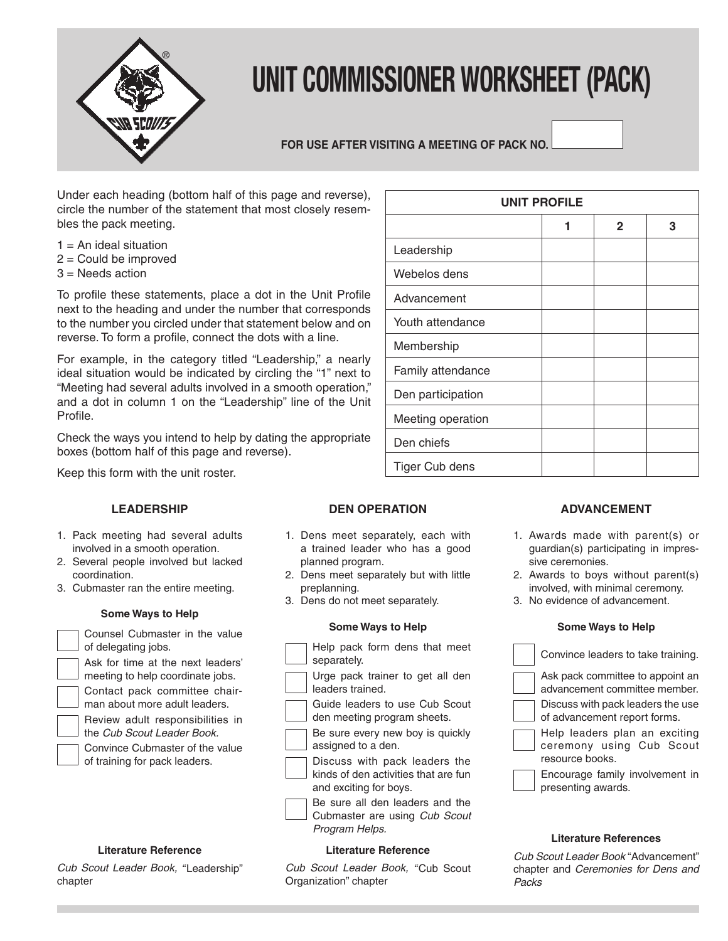

# **UNIT COMMISSIONER WORKSHEET (PACK)**

# **FOR USE AFTER VISITING A MEETING OF PACK NO.**

Under each heading (bottom half of this page and reverse), circle the number of the statement that most closely resembles the pack meeting.

- $1 = An$  ideal situation
- 2 = Could be improved
- 3 = Needs action

To profile these statements, place a dot in the Unit Profile next to the heading and under the number that corresponds to the number you circled under that statement below and on reverse. To form a profile, connect the dots with a line.

For example, in the category titled "Leadership," a nearly ideal situation would be indicated by circling the "1" next to "Meeting had several adults involved in a smooth operation," and a dot in column 1 on the "Leadership" line of the Unit Profile.

Check the ways you intend to help by dating the appropriate boxes (bottom half of this page and reverse).

Keep this form with the unit roster.

# **LEADERSHIP**

- 1. Pack meeting had several adults involved in a smooth operation.
- 2. Several people involved but lacked coordination.
- 3. Cubmaster ran the entire meeting.

#### **Some Ways to Help**

| Counsel Cubmaster in the value<br>of delegating jobs.                 |
|-----------------------------------------------------------------------|
| Ask for time at the next leaders'<br>meeting to help coordinate jobs. |
| Contact pack committee chair-<br>man about more adult leaders.        |
| Review adult responsibilities in<br>the Cub Scout Leader Book.        |
| Convince Cubmaster of the value<br>of training for pack leaders.      |

# **Literature Reference**

Cub Scout Leader Book, "Leadership" chapter

| <b>DEN OPERATION</b> |  |
|----------------------|--|
|----------------------|--|

- 1. Dens meet separately, each with a trained leader who has a good planned program.
- 2. Dens meet separately but with little preplanning.
- 3. Dens do not meet separately.

#### **Some Ways to Help**

| Help pack form dens that meet<br>separately.                                                    |
|-------------------------------------------------------------------------------------------------|
| Urge pack trainer to get all den<br>leaders trained.                                            |
| Guide leaders to use Cub Scout<br>den meeting program sheets.                                   |
| Be sure every new boy is quickly<br>assigned to a den.                                          |
| Discuss with pack leaders the<br>kinds of den activities that are fun<br>and exciting for boys. |
| Be sure all den leaders and the<br>Cubmaster are using Cub Scout<br>Program Helps.              |

#### **Literature Reference**

Cub Scout Leader Book, "Cub Scout Organization" chapter

|                   | <b>UNIT PROFILE</b> |              |   |
|-------------------|---------------------|--------------|---|
|                   | 1                   | $\mathbf{2}$ | 3 |
| Leadership        |                     |              |   |
| Webelos dens      |                     |              |   |
| Advancement       |                     |              |   |
| Youth attendance  |                     |              |   |
| Membership        |                     |              |   |
| Family attendance |                     |              |   |
| Den participation |                     |              |   |
| Meeting operation |                     |              |   |
| Den chiefs        |                     |              |   |
| Tiger Cub dens    |                     |              |   |

# **ADVANCEMENT**

- 1. Awards made with parent(s) or guardian(s) participating in impressive ceremonies.
- 2. Awards to boys without parent(s) involved, with minimal ceremony.
- 3. No evidence of advancement.

#### **Some Ways to Help**

| Convince leaders to take training.                                           |
|------------------------------------------------------------------------------|
| Ask pack committee to appoint an<br>advancement committee member.            |
| Discuss with pack leaders the use<br>of advancement report forms.            |
| Help leaders plan an exciting<br>ceremony using Cub Scout<br>resource books. |
| Encourage family involvement in<br>presenting awards.                        |

#### **Literature References**

Cub Scout Leader Book "Advancement" chapter and Ceremonies for Dens and Packs